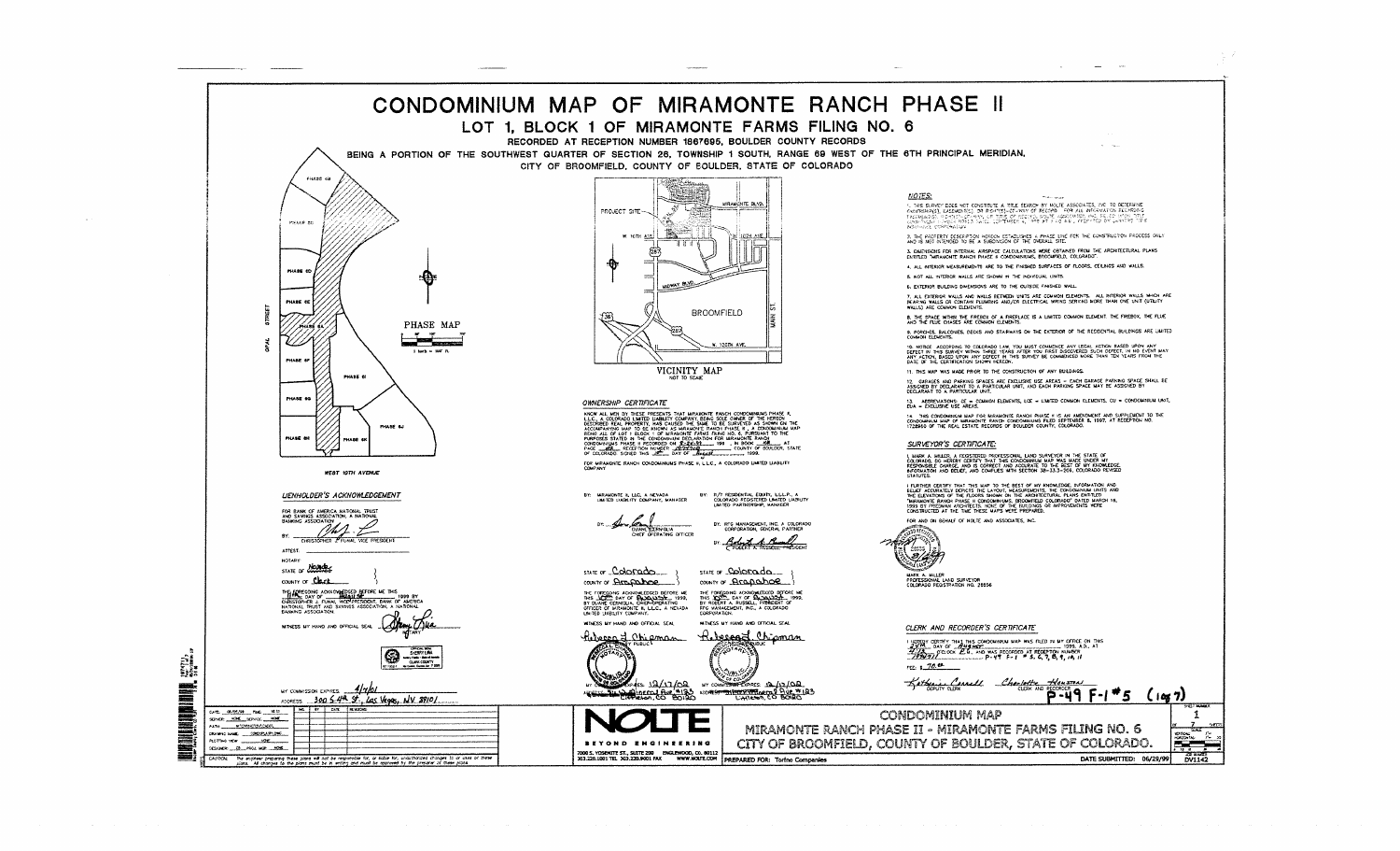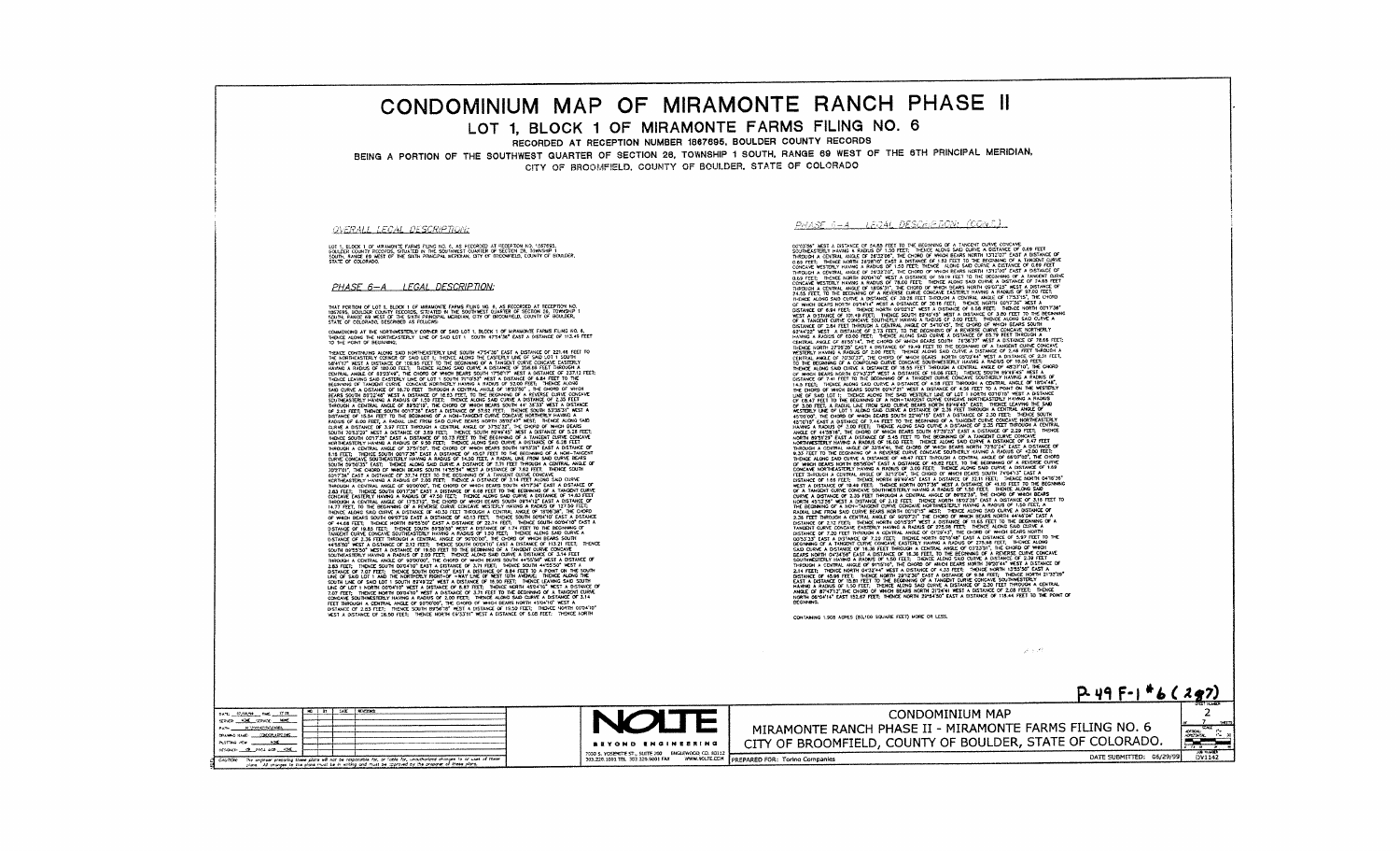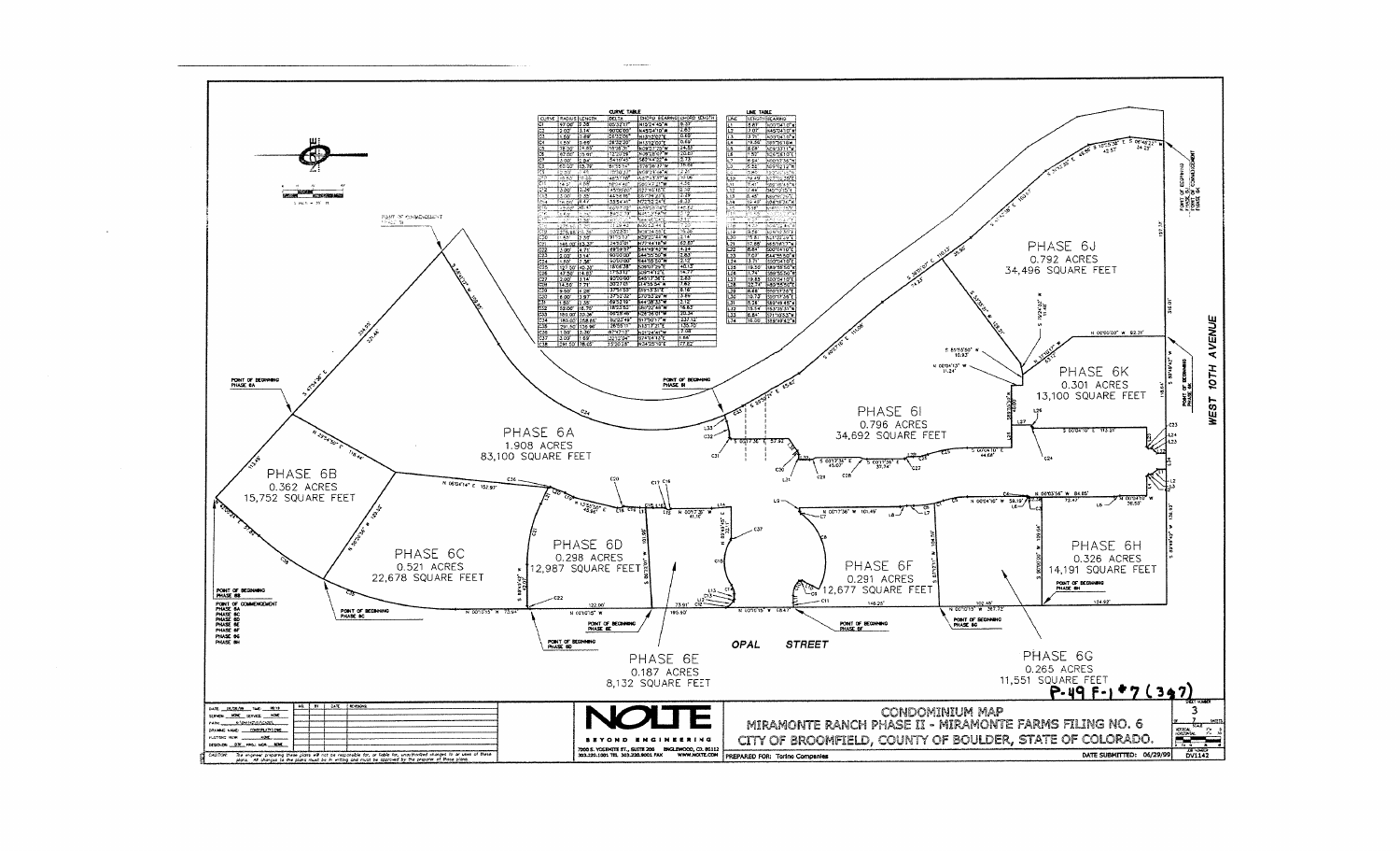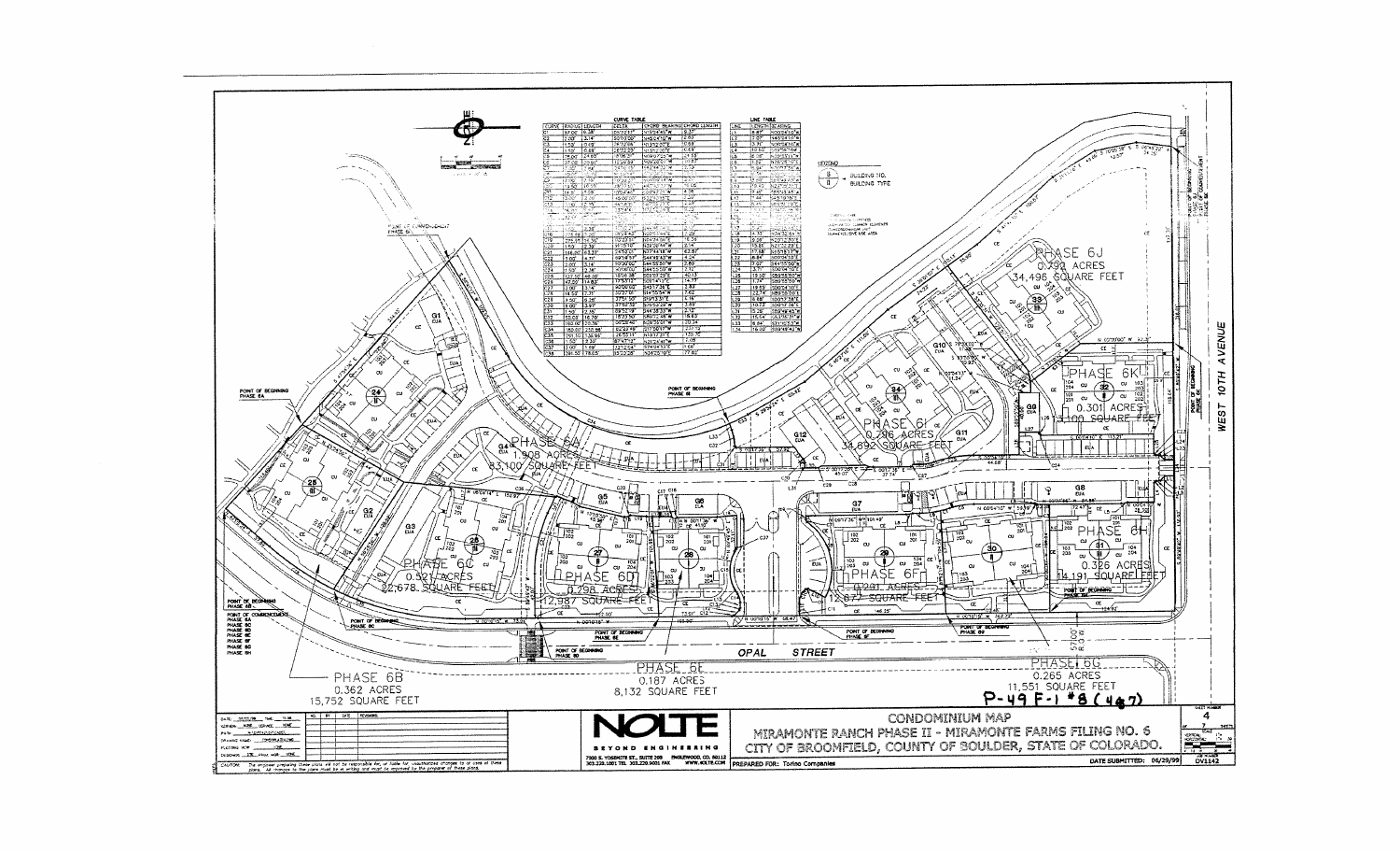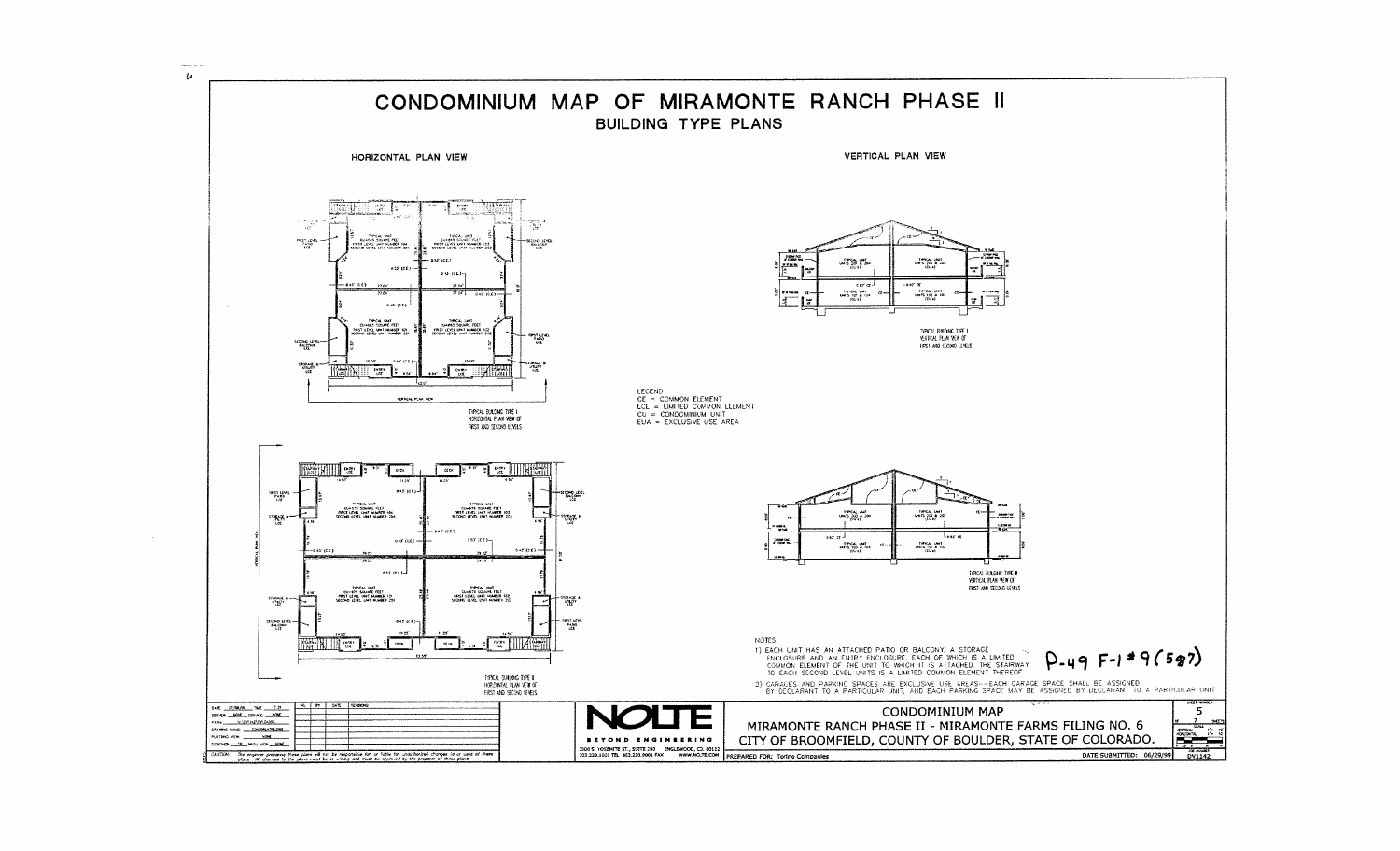